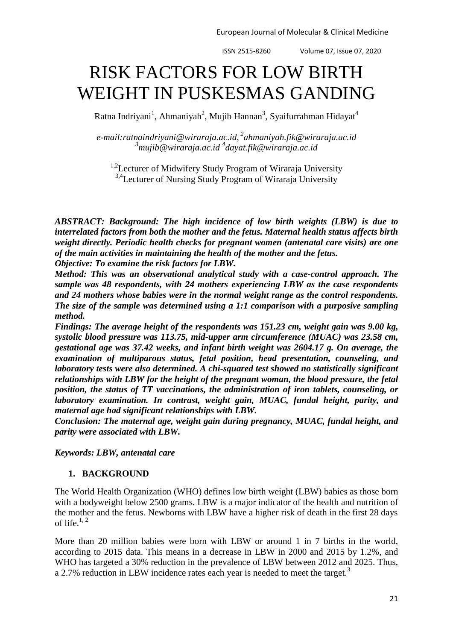ISSN 2515-8260 Volume 07, Issue 07, 2020

# RISK FACTORS FOR LOW BIRTH WEIGHT IN PUSKESMAS GANDING

Ratna Indriyani<sup>1</sup>, Ahmaniyah<sup>2</sup>, Mujib Hannan<sup>3</sup>, Syaifurrahman Hidayat<sup>4</sup>

*e-mail[:ratnaindriyani@wiraraja.ac.id,](mailto:ratnaindriyani@wiraraja.ac.id) 2 [ahmaniyah.fik@wiraraja.ac.id](mailto:ahmaniyah.fik@wiraraja.ac.id) <sup>3</sup>[mujib@wiraraja.ac.id](mailto:mujib@wiraraja.ac.id) <sup>4</sup> [dayat.fik@wiraraja.ac.id](mailto:dayat.fik@wiraraja.ac.id)*

<sup>1,2</sup>Lecturer of Midwifery Study Program of Wiraraja University <sup>3,4</sup>Lecturer of Nursing Study Program of Wiraraja University

*ABSTRACT: Background: The high incidence of low birth weights (LBW) is due to interrelated factors from both the mother and the fetus. Maternal health status affects birth weight directly. Periodic health checks for pregnant women (antenatal care visits) are one of the main activities in maintaining the health of the mother and the fetus.*

*Objective: To examine the risk factors for LBW.*

*Method: This was an observational analytical study with a case-control approach. The sample was 48 respondents, with 24 mothers experiencing LBW as the case respondents and 24 mothers whose babies were in the normal weight range as the control respondents. The size of the sample was determined using a 1:1 comparison with a purposive sampling method.*

*Findings: The average height of the respondents was 151.23 cm, weight gain was 9.00 kg, systolic blood pressure was 113.75, mid-upper arm circumference (MUAC) was 23.58 cm, gestational age was 37.42 weeks, and infant birth weight was 2604.17 g. On average, the examination of multiparous status, fetal position, head presentation, counseling, and laboratory tests were also determined. A chi-squared test showed no statistically significant relationships with LBW for the height of the pregnant woman, the blood pressure, the fetal position, the status of TT vaccinations, the administration of iron tablets, counseling, or laboratory examination. In contrast, weight gain, MUAC, fundal height, parity, and maternal age had significant relationships with LBW.*

*Conclusion: The maternal age, weight gain during pregnancy, MUAC, fundal height, and parity were associated with LBW.*

*Keywords: LBW, antenatal care*

## **1. BACKGROUND**

The World Health Organization (WHO) defines low birth weight (LBW) babies as those born with a bodyweight below 2500 grams. LBW is a major indicator of the health and nutrition of the mother and the fetus. Newborns with LBW have a higher risk of death in the first 28 days of life. $1, 2$  $1, 2$ 

More than 20 million babies were born with LBW or around 1 in 7 births in the world, according to 2015 data. This means in a decrease in LBW in 2000 and 2015 by 1.2%, and WHO has targeted a 30% reduction in the prevalence of LBW between 2012 and 2025. Thus, a 2.7% reduction in LBW incidence rates each year is needed to meet the target.<sup>[3](#page-5-0)</sup>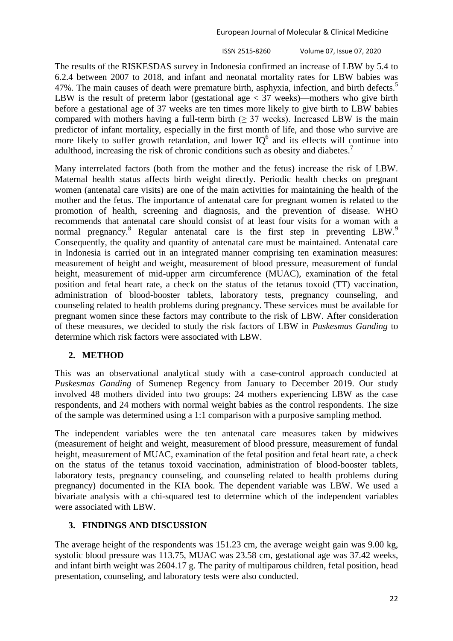ISSN 2515-8260 Volume 07, Issue 07, 2020 22

The results of the RISKESDAS survey in Indonesia confirmed an increase of LBW by 5.4 to 6.2.4 between 2007 to 2018, and infant and neonatal mortality rates for LBW babies was 47%. The main causes of death were premature birth, asphyxia, infection, and birth defects.<sup>5</sup> LBW is the result of preterm labor (gestational age  $\lt 37$  weeks)—mothers who give birth before a gestational age of 37 weeks are ten times more likely to give birth to LBW babies compared with mothers having a full-term birth  $(≥ 37$  weeks). Increased LBW is the main predictor of infant mortality, especially in the first month of life, and those who survive are more likely to suffer growth retardation, and lower  $IQ<sup>6</sup>$  and its effects will continue into adulthood, increasing the risk of chronic conditions such as obesity and diabetes.<sup>7</sup>

Many interrelated factors (both from the mother and the fetus) increase the risk of LBW. Maternal health status affects birth weight directly. Periodic health checks on pregnant women (antenatal care visits) are one of the main activities for maintaining the health of the mother and the fetus. The importance of antenatal care for pregnant women is related to the promotion of health, screening and diagnosis, and the prevention of disease. WHO recommends that antenatal care should consist of at least four visits for a woman with a normal pregnancy.<sup>8</sup> Regular antenatal care is the first step in preventing LBW.<sup>9</sup> Consequently, the quality and quantity of antenatal care must be maintained. Antenatal care in Indonesia is carried out in an integrated manner comprising ten examination measures: measurement of height and weight, measurement of blood pressure, measurement of fundal height, measurement of mid-upper arm circumference (MUAC), examination of the fetal position and fetal heart rate, a check on the status of the tetanus toxoid (TT) vaccination, administration of blood-booster tablets, laboratory tests, pregnancy counseling, and counseling related to health problems during pregnancy. These services must be available for pregnant women since these factors may contribute to the risk of LBW. After consideration of these measures, we decided to study the risk factors of LBW in *Puskesmas Ganding* to determine which risk factors were associated with LBW.

## **2. METHOD**

This was an observational analytical study with a case-control approach conducted at *Puskesmas Ganding* of Sumenep Regency from January to December 2019. Our study involved 48 mothers divided into two groups: 24 mothers experiencing LBW as the case respondents, and 24 mothers with normal weight babies as the control respondents. The size of the sample was determined using a 1:1 comparison with a purposive sampling method.

The independent variables were the ten antenatal care measures taken by midwives (measurement of height and weight, measurement of blood pressure, measurement of fundal height, measurement of MUAC, examination of the fetal position and fetal heart rate, a check on the status of the tetanus toxoid vaccination, administration of blood-booster tablets, laboratory tests, pregnancy counseling, and counseling related to health problems during pregnancy) documented in the KIA book. The dependent variable was LBW. We used a bivariate analysis with a chi-squared test to determine which of the independent variables were associated with LBW.

## **3. FINDINGS AND DISCUSSION**

The average height of the respondents was 151.23 cm, the average weight gain was 9.00 kg, systolic blood pressure was 113.75, MUAC was 23.58 cm, gestational age was 37.42 weeks, and infant birth weight was 2604.17 g. The parity of multiparous children, fetal position, head presentation, counseling, and laboratory tests were also conducted.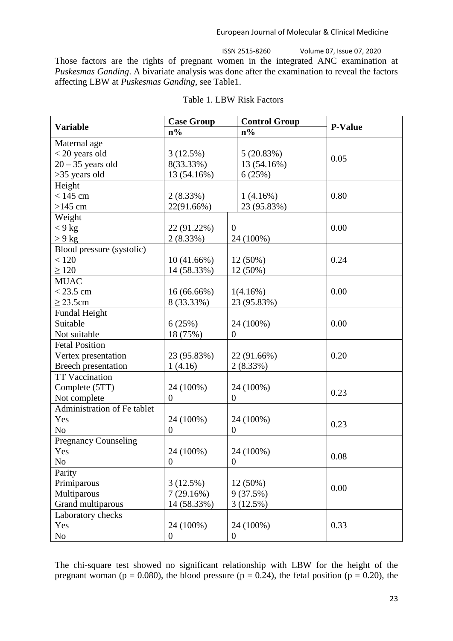European Journal of Molecular & Clinical Medicine

ISSN 2515-8260 Volume 07, Issue 07, 2020 Those factors are the rights of pregnant women in the integrated ANC examination at *Puskesmas Ganding*. A bivariate analysis was done after the examination to reveal the factors affecting LBW at *Puskesmas Ganding*, see Table1.

| <b>Variable</b>             | <b>Case Group</b> | <b>Control Group</b> | <b>P-Value</b> |
|-----------------------------|-------------------|----------------------|----------------|
|                             | $n\%$             | $n\%$                |                |
| Maternal age                |                   |                      |                |
| $<$ 20 years old            | 3(12.5%)          | 5(20.83%)            | 0.05           |
| $20 - 35$ years old         | 8(33.33%)         | 13 (54.16%)          |                |
| >35 years old               | 13 (54.16%)       | 6(25%)               |                |
| Height                      |                   |                      |                |
| $< 145$ cm                  | 2(8.33%)          | 1(4.16%)             | 0.80           |
| $>145$ cm                   | 22(91.66%)        | 23 (95.83%)          |                |
| Weight                      |                   |                      |                |
| $< 9$ kg                    | 22 (91.22%)       | $\overline{0}$       | 0.00           |
| $> 9$ kg                    | 2(8.33%)          | 24 (100%)            |                |
| Blood pressure (systolic)   |                   |                      |                |
| < 120                       | $10(41.66\%)$     | 12 (50%)             | 0.24           |
| $\geq 120$                  | 14 (58.33%)       | 12 (50%)             |                |
| <b>MUAC</b>                 |                   |                      |                |
| $< 23.5$ cm                 | 16 (66.66%)       | 1(4.16%)             | 0.00           |
| $\geq$ 23.5cm               | 8 (33.33%)        | 23 (95.83%)          |                |
| Fundal Height               |                   |                      |                |
| Suitable                    | 6(25%)            | 24 (100%)            | 0.00           |
| Not suitable                | 18 (75%)          | $\boldsymbol{0}$     |                |
| <b>Fetal Position</b>       |                   |                      |                |
| Vertex presentation         | 23 (95.83%)       | 22 (91.66%)          | 0.20           |
| Breech presentation         | 1(4.16)           | 2(8.33%)             |                |
| <b>TT Vaccination</b>       |                   |                      |                |
| Complete (5TT)              | 24 (100%)         | 24 (100%)            | 0.23           |
| Not complete                | $\overline{0}$    | $\boldsymbol{0}$     |                |
| Administration of Fe tablet |                   |                      |                |
| Yes                         | 24 (100%)         | 24 (100%)            | 0.23           |
| N <sub>o</sub>              | $\boldsymbol{0}$  | $\boldsymbol{0}$     |                |
| <b>Pregnancy Counseling</b> |                   |                      |                |
| Yes                         | 24 (100%)         | 24 (100%)            | 0.08           |
| N <sub>o</sub>              | $\overline{0}$    | $\overline{0}$       |                |
| Parity                      |                   |                      |                |
| Primiparous                 | 3(12.5%)          | 12 (50%)             | 0.00           |
| Multiparous                 | 7(29.16%)         | 9(37.5%)             |                |
| Grand multiparous           | 14 (58.33%)       | 3(12.5%)             |                |
| Laboratory checks           |                   |                      |                |
| Yes                         | 24 (100%)         | 24 (100%)            | 0.33           |
| No                          | $\overline{0}$    | $\boldsymbol{0}$     |                |

| Table 1. LBW Risk Factors |  |  |  |
|---------------------------|--|--|--|
|---------------------------|--|--|--|

The chi-square test showed no significant relationship with LBW for the height of the pregnant woman ( $p = 0.080$ ), the blood pressure ( $p = 0.24$ ), the fetal position ( $p = 0.20$ ), the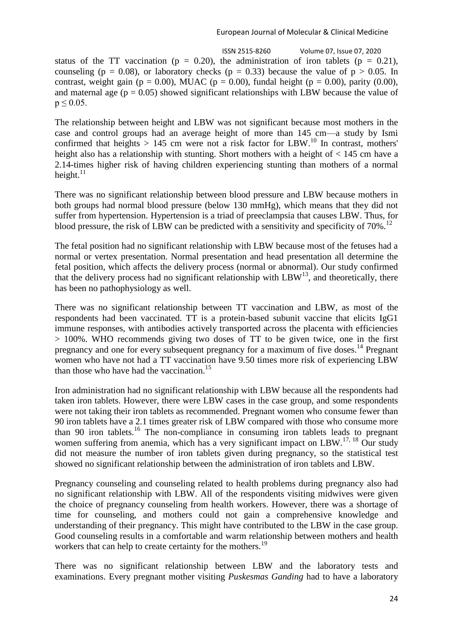ISSN 2515-8260 Volume 07, Issue 07, 2020 status of the TT vaccination ( $p = 0.20$ ), the administration of iron tablets ( $p = 0.21$ ), counseling (p = 0.08), or laboratory checks (p = 0.33) because the value of p > 0.05. In contrast, weight gain ( $p = 0.00$ ), MUAC ( $p = 0.00$ ), fundal height ( $p = 0.00$ ), parity (0.00), and maternal age ( $p = 0.05$ ) showed significant relationships with LBW because the value of  $p \le 0.05$ .

The relationship between height and LBW was not significant because most mothers in the case and control groups had an average height of more than 145 cm—a study by Ismi confirmed that heights  $> 145$  cm were not a risk factor for LBW.<sup>10</sup> In contrast, mothers' height also has a relationship with stunting. Short mothers with a height of < 145 cm have a 2.14-times higher risk of having children experiencing stunting than mothers of a normal height. $11$ 

There was no significant relationship between blood pressure and LBW because mothers in both groups had normal blood pressure (below 130 mmHg), which means that they did not suffer from hypertension. Hypertension is a triad of preeclampsia that causes LBW. Thus, for blood pressure, the risk of LBW can be predicted with a sensitivity and specificity of  $70\%$ .<sup>12</sup>

The fetal position had no significant relationship with LBW because most of the fetuses had a normal or vertex presentation. Normal presentation and head presentation all determine the fetal position, which affects the delivery process (normal or abnormal). Our study confirmed that the delivery process had no significant relationship with  $LBW^{13}$ , and theoretically, there has been no pathophysiology as well.

There was no significant relationship between TT vaccination and LBW, as most of the respondents had been vaccinated. TT is a protein-based subunit vaccine that elicits IgG1 immune responses, with antibodies actively transported across the placenta with efficiencies > 100%. WHO recommends giving two doses of TT to be given twice, one in the first pregnancy and one for every subsequent pregnancy for a maximum of five doses.<sup>14</sup> Pregnant women who have not had a TT vaccination have 9.50 times more risk of experiencing LBW than those who have had the vaccination.<sup>15</sup>

Iron administration had no significant relationship with LBW because all the respondents had taken iron tablets. However, there were LBW cases in the case group, and some respondents were not taking their iron tablets as recommended. Pregnant women who consume fewer than 90 iron tablets have a 2.1 times greater risk of LBW compared with those who consume more than 90 iron tablets.<sup>16</sup> The non-compliance in consuming iron tablets leads to pregnant women suffering from anemia, which has a very significant impact on LBW.<sup>[17,](#page-5-1) [18](#page-5-2)</sup> Our study did not measure the number of iron tablets given during pregnancy, so the statistical test showed no significant relationship between the administration of iron tablets and LBW.

Pregnancy counseling and counseling related to health problems during pregnancy also had no significant relationship with LBW. All of the respondents visiting midwives were given the choice of pregnancy counseling from health workers. However, there was a shortage of time for counseling, and mothers could not gain a comprehensive knowledge and understanding of their pregnancy. This might have contributed to the LBW in the case group. Good counseling results in a comfortable and warm relationship between mothers and health workers that can help to create certainty for the mothers.<sup>[19](#page-5-3)</sup>

There was no significant relationship between LBW and the laboratory tests and examinations. Every pregnant mother visiting *Puskesmas Ganding* had to have a laboratory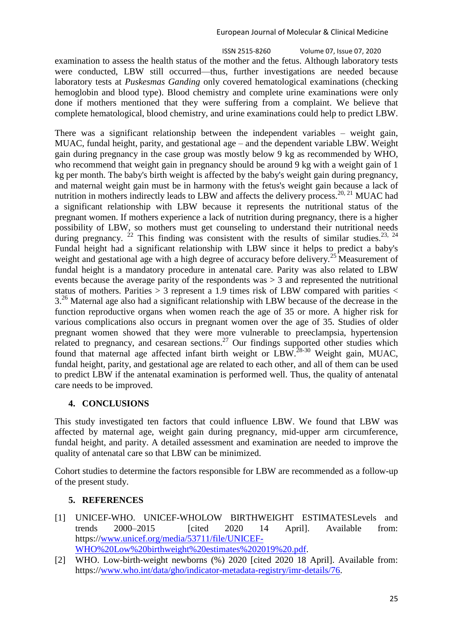### European Journal of Molecular & Clinical Medicine

 ISSN 2515-8260 Volume 07, Issue 07, 2020 25 examination to assess the health status of the mother and the fetus. Although laboratory tests were conducted, LBW still occurred—thus, further investigations are needed because laboratory tests at *Puskesmas Ganding* only covered hematological examinations (checking hemoglobin and blood type). Blood chemistry and complete urine examinations were only done if mothers mentioned that they were suffering from a complaint. We believe that complete hematological, blood chemistry, and urine examinations could help to predict LBW.

There was a significant relationship between the independent variables – weight gain, MUAC, fundal height, parity, and gestational age – and the dependent variable LBW. Weight gain during pregnancy in the case group was mostly below 9 kg as recommended by WHO, who recommend that weight gain in pregnancy should be around 9 kg with a weight gain of 1 kg per month. The baby's birth weight is affected by the baby's weight gain during pregnancy, and maternal weight gain must be in harmony with the fetus's weight gain because a lack of nutrition in mothers indirectly leads to LBW and affects the delivery process.<sup>20, 21</sup> MUAC had a significant relationship with LBW because it represents the nutritional status of the pregnant women. If mothers experience a lack of nutrition during pregnancy, there is a higher possibility of LBW, so mothers must get counseling to understand their nutritional needs during pregnancy. <sup>[22](#page-6-0)</sup> This finding was consistent with the results of similar studies.<sup>[23,](#page-6-1) [24](#page-6-2)</sup> Fundal height had a significant relationship with LBW since it helps to predict a baby's weight and gestational age with a high degree of accuracy before delivery.<sup>25</sup> Measurement of fundal height is a mandatory procedure in antenatal care. Parity was also related to LBW events because the average parity of the respondents was  $> 3$  and represented the nutritional status of mothers. Parities  $> 3$  represent a 1.9 times risk of LBW compared with parities  $<$ 3<sup>26</sup> Maternal age also had a significant relationship with LBW because of the decrease in the function reproductive organs when women reach the age of 35 or more. A higher risk for various complications also occurs in pregnant women over the age of 35. Studies of older pregnant women showed that they were more vulnerable to preeclampsia, hypertension related to pregnancy, and cesarean sections.<sup>27</sup> Our findings supported other studies which found that maternal age affected infant birth weight or LBW.28-30 Weight gain, MUAC, fundal height, parity, and gestational age are related to each other, and all of them can be used to predict LBW if the antenatal examination is performed well. Thus, the quality of antenatal care needs to be improved.

## **4. CONCLUSIONS**

This study investigated ten factors that could influence LBW. We found that LBW was affected by maternal age, weight gain during pregnancy, mid-upper arm circumference, fundal height, and parity. A detailed assessment and examination are needed to improve the quality of antenatal care so that LBW can be minimized.

Cohort studies to determine the factors responsible for LBW are recommended as a follow-up of the present study.

## **5. REFERENCES**

- <span id="page-4-0"></span>[1] UNICEF-WHO. UNICEF-WHOLOW BIRTHWEIGHT ESTIMATESLevels and trends 2000–2015 [cited 2020 14 April]. Available from: https:/[/www.unicef.org/media/53711/file/UNICEF-](http://www.unicef.org/media/53711/file/UNICEF-WHO%20Low%20birthweight%20estimates%202019%20.pdf)[WHO%20Low%20birthweight%20estimates%202019%20.pdf.](http://www.unicef.org/media/53711/file/UNICEF-WHO%20Low%20birthweight%20estimates%202019%20.pdf)
- <span id="page-4-1"></span>[2] WHO. Low-birth-weight newborns (%) 2020 [cited 2020 18 April]. Available from: https:/[/www.who.int/data/gho/indicator-metadata-registry/imr-details/76.](http://www.who.int/data/gho/indicator-metadata-registry/imr-details/76)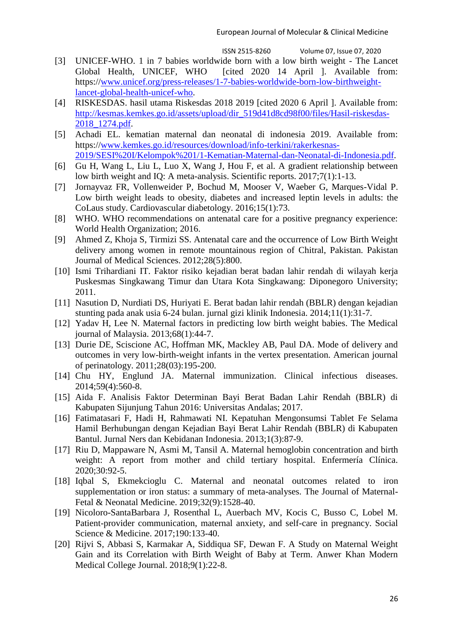ISSN 2515-8260 Volume 07, Issue 07, 2020

- <span id="page-5-0"></span>[3] UNICEF-WHO. 1 in 7 babies worldwide born with a low birth weight - The Lancet Global Health, UNICEF, WHO [cited 2020 14 April ]. Available from: https:/[/www.unicef.org/press-releases/1-7-babies-worldwide-born-low-birthweight](http://www.unicef.org/press-releases/1-7-babies-worldwide-born-low-birthweight-lancet-global-health-unicef-who)[lancet-global-health-unicef-who.](http://www.unicef.org/press-releases/1-7-babies-worldwide-born-low-birthweight-lancet-global-health-unicef-who)
- [4] RISKESDAS. hasil utama Riskesdas 2018 2019 [cited 2020 6 April ]. Available from: [http://kesmas.kemkes.go.id/assets/upload/dir\\_519d41d8cd98f00/files/Hasil-riskesdas-](http://kesmas.kemkes.go.id/assets/upload/dir_519d41d8cd98f00/files/Hasil-riskesdas-2018_1274.pdf)[2018\\_1274.pdf.](http://kesmas.kemkes.go.id/assets/upload/dir_519d41d8cd98f00/files/Hasil-riskesdas-2018_1274.pdf)
- [5] Achadi EL. kematian maternal dan neonatal di indonesia 2019. Available from: https:/[/www.kemkes.go.id/resources/download/info-terkini/rakerkesnas-](http://www.kemkes.go.id/resources/download/info-terkini/rakerkesnas-2019/SESI%20I/Kelompok%201/1-Kematian-Maternal-dan-Neonatal-di-Indonesia.pdf)[2019/SESI%20I/Kelompok%201/1-Kematian-Maternal-dan-Neonatal-di-Indonesia.pdf.](http://www.kemkes.go.id/resources/download/info-terkini/rakerkesnas-2019/SESI%20I/Kelompok%201/1-Kematian-Maternal-dan-Neonatal-di-Indonesia.pdf)
- [6] Gu H, Wang L, Liu L, Luo X, Wang J, Hou F, et al. A gradient relationship between low birth weight and IQ: A meta-analysis. Scientific reports. 2017;7(1):1-13.
- [7] Jornayvaz FR, Vollenweider P, Bochud M, Mooser V, Waeber G, Marques-Vidal P. Low birth weight leads to obesity, diabetes and increased leptin levels in adults: the CoLaus study. Cardiovascular diabetology. 2016;15(1):73.
- [8] WHO. WHO recommendations on antenatal care for a positive pregnancy experience: World Health Organization; 2016.
- [9] Ahmed Z, Khoja S, Tirmizi SS. Antenatal care and the occurrence of Low Birth Weight delivery among women in remote mountainous region of Chitral, Pakistan. Pakistan Journal of Medical Sciences. 2012;28(5):800.
- [10] Ismi Trihardiani IT. Faktor risiko kejadian berat badan lahir rendah di wilayah kerja Puskesmas Singkawang Timur dan Utara Kota Singkawang: Diponegoro University; 2011.
- [11] Nasution D, Nurdiati DS, Huriyati E. Berat badan lahir rendah (BBLR) dengan kejadian stunting pada anak usia 6-24 bulan. jurnal gizi klinik Indonesia. 2014;11(1):31-7.
- [12] Yadav H, Lee N. Maternal factors in predicting low birth weight babies. The Medical journal of Malaysia. 2013;68(1):44-7.
- [13] Durie DE, Sciscione AC, Hoffman MK, Mackley AB, Paul DA. Mode of delivery and outcomes in very low-birth-weight infants in the vertex presentation. American journal of perinatology. 2011;28(03):195-200.
- [14] Chu HY, Englund JA. Maternal immunization. Clinical infectious diseases. 2014;59(4):560-8.
- [15] Aida F. Analisis Faktor Determinan Bayi Berat Badan Lahir Rendah (BBLR) di Kabupaten Sijunjung Tahun 2016: Universitas Andalas; 2017.
- [16] Fatimatasari F, Hadi H, Rahmawati NI. Kepatuhan Mengonsumsi Tablet Fe Selama Hamil Berhubungan dengan Kejadian Bayi Berat Lahir Rendah (BBLR) di Kabupaten Bantul. Jurnal Ners dan Kebidanan Indonesia. 2013;1(3):87-9.
- <span id="page-5-1"></span>[17] Riu D, Mappaware N, Asmi M, Tansil A. Maternal hemoglobin concentration and birth weight: A report from mother and child tertiary hospital. Enfermería Clínica. 2020;30:92-5.
- <span id="page-5-2"></span>[18] Iqbal S, Ekmekcioglu C. Maternal and neonatal outcomes related to iron supplementation or iron status: a summary of meta-analyses. The Journal of Maternal-Fetal & Neonatal Medicine. 2019;32(9):1528-40.
- <span id="page-5-3"></span>[19] Nicoloro-SantaBarbara J, Rosenthal L, Auerbach MV, Kocis C, Busso C, Lobel M. Patient-provider communication, maternal anxiety, and self-care in pregnancy. Social Science & Medicine. 2017;190:133-40.
- [20] Rijvi S, Abbasi S, Karmakar A, Siddiqua SF, Dewan F. A Study on Maternal Weight Gain and its Correlation with Birth Weight of Baby at Term. Anwer Khan Modern Medical College Journal. 2018;9(1):22-8.